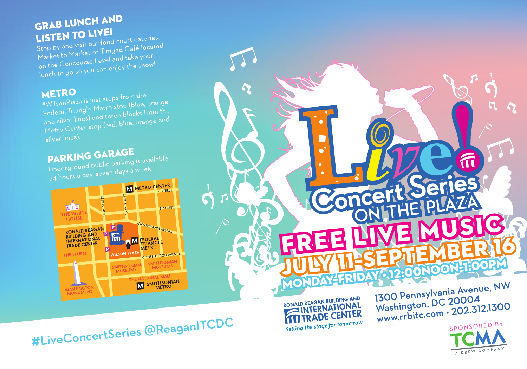## GRAB LUNCH AND **LISTEN TO LIVE!**

Stop by and visit our food court eateries, Market to Market or Timgad Café located on the Concourse Level and take your lunch to go so you can enjoy the show!

## **METRO**

#WilsonPlaza is just steps from the Federal Triangle Metro stop (blue, orange and silver lines) and three blocks from the Metro Center stop (red, blue, orange and

## PARKING GARAGE

Underground public parking is available 24 hours a day, seven days a week.